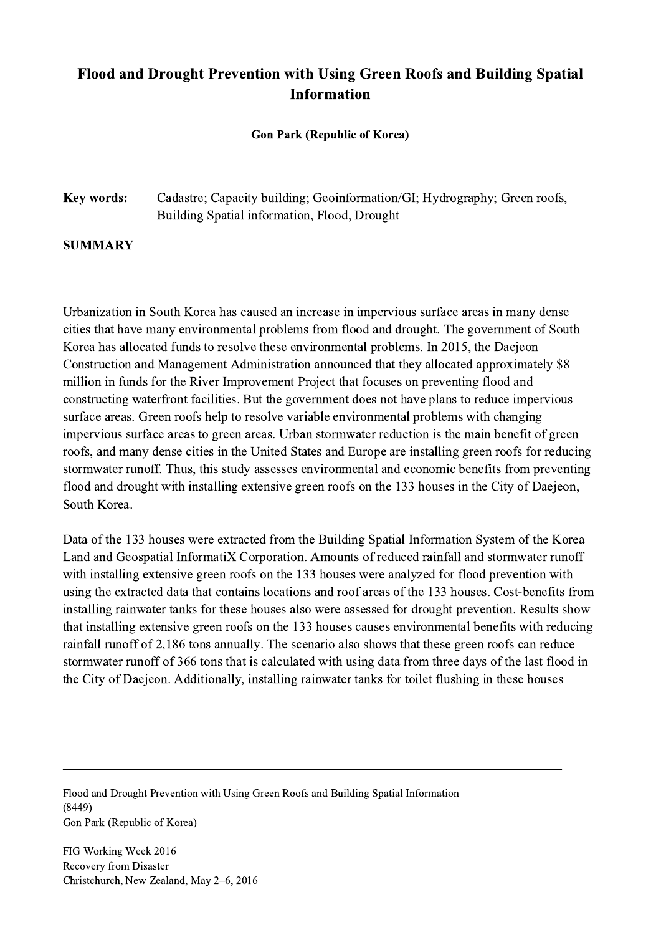## Flood and Drought Prevention with Using Green Roofs and Building Spatial Information

## Gon Park (Republic of Korea)

## Key words: Cadastre; Capacity building; Geoinformation/GI; Hydrography; Green roofs, Building Spatial information, Flood, Drought

## SUMMARY

Urbanization in South Korea has caused an increase in impervious surface areas in many dense cities that have many environmental problems from flood and drought. The government of South Korea has allocated funds to resolve these environmental problems. In 2015, the Daejeon Construction and Management Administration announced that they allocated approximately \$8 million in funds for the River Improvement Project that focuses on preventing flood and constructing waterfront facilities. But the government does not have plans to reduce impervious surface areas. Green roofs help to resolve variable environmental problems with changing impervious surface areas to green areas. Urban stormwater reduction is the main benefit of green roofs, and many dense cities in the United States and Europe are installing green roofs for reducing stormwater runoff. Thus, this study assesses environmental and economic benefits from preventing flood and drought with installing extensive green roofs on the 133 houses in the City of Daejeon, South Korea.

Data of the 133 houses were extracted from the Building Spatial Information System of the Korea Land and Geospatial InformatiX Corporation. Amounts of reduced rainfall and stormwater runoff with installing extensive green roofs on the 133 houses were analyzed for flood prevention with using the extracted data that contains locations and roof areas of the 133 houses. Cost-benefits from installing rainwater tanks for these houses also were assessed for drought prevention. Results show that installing extensive green roofs on the 133 houses causes environmental benefits with reducing rainfall runoff of 2,186 tons annually. The scenario also shows that these green roofs can reduce stormwater runoff of 366 tons that is calculated with using data from three days of the last flood in the City of Daejeon. Additionally, installing rainwater tanks for toilet flushing in these houses

 $\mathcal{L}_\mathcal{L} = \{ \mathcal{L}_\mathcal{L} = \{ \mathcal{L}_\mathcal{L} = \{ \mathcal{L}_\mathcal{L} = \{ \mathcal{L}_\mathcal{L} = \{ \mathcal{L}_\mathcal{L} = \{ \mathcal{L}_\mathcal{L} = \{ \mathcal{L}_\mathcal{L} = \{ \mathcal{L}_\mathcal{L} = \{ \mathcal{L}_\mathcal{L} = \{ \mathcal{L}_\mathcal{L} = \{ \mathcal{L}_\mathcal{L} = \{ \mathcal{L}_\mathcal{L} = \{ \mathcal{L}_\mathcal{L} = \{ \mathcal{L}_\mathcal{$ 

Flood and Drought Prevention with Using Green Roofs and Building Spatial Information (8449) Gon Park (Republic of Korea)

FIG Working Week 2016 Recovery from Disaster Christchurch, New Zealand, May 2–6, 2016